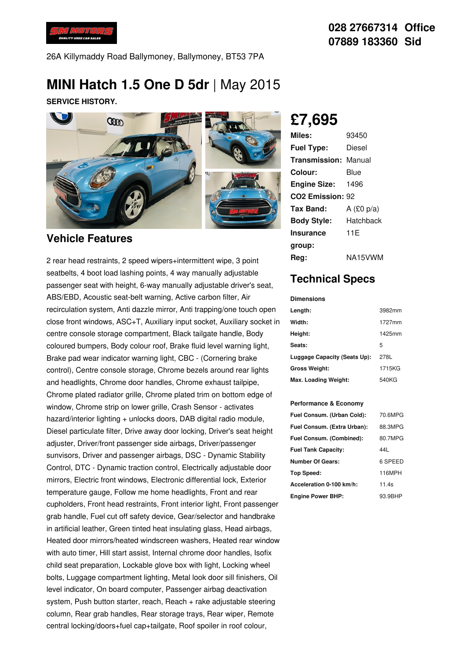

26A Killymaddy Road Ballymoney, Ballymoney, BT53 7PA

# **MINI Hatch 1.5 One D 5dr** | May 2015

**SERVICE HISTORY.**



### **Vehicle Features**

2 rear head restraints, 2 speed wipers+intermittent wipe, 3 point seatbelts, 4 boot load lashing points, 4 way manually adjustable passenger seat with height, 6-way manually adjustable driver's seat, ABS/EBD, Acoustic seat-belt warning, Active carbon filter, Air recirculation system, Anti dazzle mirror, Anti trapping/one touch open close front windows, ASC+T, Auxiliary input socket, Auxiliary socket in centre console storage compartment, Black tailgate handle, Body coloured bumpers, Body colour roof, Brake fluid level warning light, Brake pad wear indicator warning light, CBC - (Cornering brake control), Centre console storage, Chrome bezels around rear lights and headlights, Chrome door handles, Chrome exhaust tailpipe, Chrome plated radiator grille, Chrome plated trim on bottom edge of window, Chrome strip on lower grille, Crash Sensor - activates hazard/interior lighting + unlocks doors, DAB digital radio module, Diesel particulate filter, Drive away door locking, Driver's seat height adjuster, Driver/front passenger side airbags, Driver/passenger sunvisors, Driver and passenger airbags, DSC - Dynamic Stability Control, DTC - Dynamic traction control, Electrically adjustable door mirrors, Electric front windows, Electronic differential lock, Exterior temperature gauge, Follow me home headlights, Front and rear cupholders, Front head restraints, Front interior light, Front passenger grab handle, Fuel cut off safety device, Gear/selector and handbrake in artificial leather, Green tinted heat insulating glass, Head airbags, Heated door mirrors/heated windscreen washers, Heated rear window with auto timer. Hill start assist, Internal chrome door handles, Isofix child seat preparation, Lockable glove box with light, Locking wheel bolts, Luggage compartment lighting, Metal look door sill finishers, Oil level indicator, On board computer, Passenger airbag deactivation system, Push button starter, reach, Reach + rake adjustable steering column, Rear grab handles, Rear storage trays, Rear wiper, Remote central locking/doors+fuel cap+tailgate, Roof spoiler in roof colour,

**£7,695**

| Miles:                       | 93450        |
|------------------------------|--------------|
| <b>Fuel Type:</b>            | Diesel       |
| <b>Transmission: Manual</b>  |              |
| Colour:                      | Blue         |
| <b>Engine Size:</b>          | 1496         |
| CO <sub>2</sub> Emission: 92 |              |
| Tax Band:                    | A $(E0 p/a)$ |
| <b>Body Style:</b>           | Hatchback    |
| <b>Insurance</b>             | 11F          |
| group:                       |              |
| Rea:                         | NA15VWM      |

## **Technical Specs**

#### **Dimensions Length:** 3982mm **Width:** 1727mm **Height:** 1425mm **Seats:** 5 **Luggage Capacity (Seats Up):** 278L **Gross Weight:** 1715KG **Max. Loading Weight:** 540KG

#### **Performance & Economy**

| Fuel Consum. (Urban Cold):  | 70.6MPG |
|-----------------------------|---------|
| Fuel Consum. (Extra Urban): | 88.3MPG |
| Fuel Consum. (Combined):    | 80.7MPG |
| <b>Fuel Tank Capacity:</b>  | 44I     |
| <b>Number Of Gears:</b>     | 6 SPEED |
| Top Speed:                  | 116MPH  |
| Acceleration 0-100 km/h:    | 11.4s   |
| <b>Engine Power BHP:</b>    | 93.9BHP |